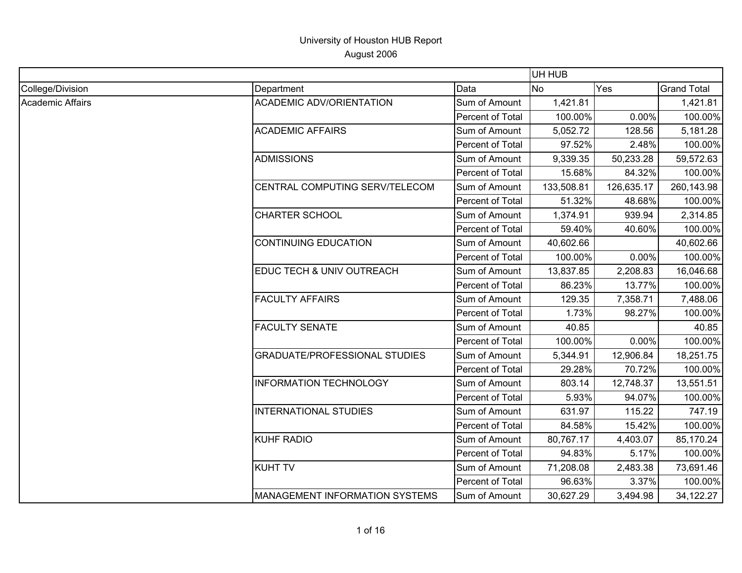|                  |                                      |                  | UH HUB     |            |                    |
|------------------|--------------------------------------|------------------|------------|------------|--------------------|
| College/Division | Department                           | Data             | <b>No</b>  | Yes        | <b>Grand Total</b> |
| Academic Affairs | <b>ACADEMIC ADV/ORIENTATION</b>      | Sum of Amount    | 1,421.81   |            | 1,421.81           |
|                  |                                      | Percent of Total | 100.00%    | 0.00%      | 100.00%            |
|                  | <b>ACADEMIC AFFAIRS</b>              | Sum of Amount    | 5,052.72   | 128.56     | 5,181.28           |
|                  |                                      | Percent of Total | 97.52%     | 2.48%      | 100.00%            |
|                  | <b>ADMISSIONS</b>                    | Sum of Amount    | 9,339.35   | 50,233.28  | 59,572.63          |
|                  |                                      | Percent of Total | 15.68%     | 84.32%     | 100.00%            |
|                  | CENTRAL COMPUTING SERV/TELECOM       | Sum of Amount    | 133,508.81 | 126,635.17 | 260,143.98         |
|                  |                                      | Percent of Total | 51.32%     | 48.68%     | 100.00%            |
|                  | <b>CHARTER SCHOOL</b>                | Sum of Amount    | 1,374.91   | 939.94     | 2,314.85           |
|                  |                                      | Percent of Total | 59.40%     | 40.60%     | 100.00%            |
|                  | <b>CONTINUING EDUCATION</b>          | Sum of Amount    | 40,602.66  |            | 40,602.66          |
|                  |                                      | Percent of Total | 100.00%    | 0.00%      | 100.00%            |
|                  | EDUC TECH & UNIV OUTREACH            | Sum of Amount    | 13,837.85  | 2,208.83   | 16,046.68          |
|                  |                                      | Percent of Total | 86.23%     | 13.77%     | 100.00%            |
|                  | <b>FACULTY AFFAIRS</b>               | Sum of Amount    | 129.35     | 7,358.71   | 7,488.06           |
|                  |                                      | Percent of Total | 1.73%      | 98.27%     | 100.00%            |
|                  | <b>FACULTY SENATE</b>                | Sum of Amount    | 40.85      |            | 40.85              |
|                  |                                      | Percent of Total | 100.00%    | 0.00%      | 100.00%            |
|                  | <b>GRADUATE/PROFESSIONAL STUDIES</b> | Sum of Amount    | 5,344.91   | 12,906.84  | 18,251.75          |
|                  |                                      | Percent of Total | 29.28%     | 70.72%     | 100.00%            |
|                  | <b>INFORMATION TECHNOLOGY</b>        | Sum of Amount    | 803.14     | 12,748.37  | 13,551.51          |
|                  |                                      | Percent of Total | 5.93%      | 94.07%     | 100.00%            |
|                  | <b>INTERNATIONAL STUDIES</b>         | Sum of Amount    | 631.97     | 115.22     | 747.19             |
|                  |                                      | Percent of Total | 84.58%     | 15.42%     | 100.00%            |
|                  | <b>KUHF RADIO</b>                    | Sum of Amount    | 80,767.17  | 4,403.07   | 85,170.24          |
|                  |                                      | Percent of Total | 94.83%     | 5.17%      | 100.00%            |
|                  | <b>KUHT TV</b>                       | Sum of Amount    | 71,208.08  | 2,483.38   | 73,691.46          |
|                  |                                      | Percent of Total | 96.63%     | 3.37%      | 100.00%            |
|                  | MANAGEMENT INFORMATION SYSTEMS       | Sum of Amount    | 30,627.29  | 3,494.98   | 34,122.27          |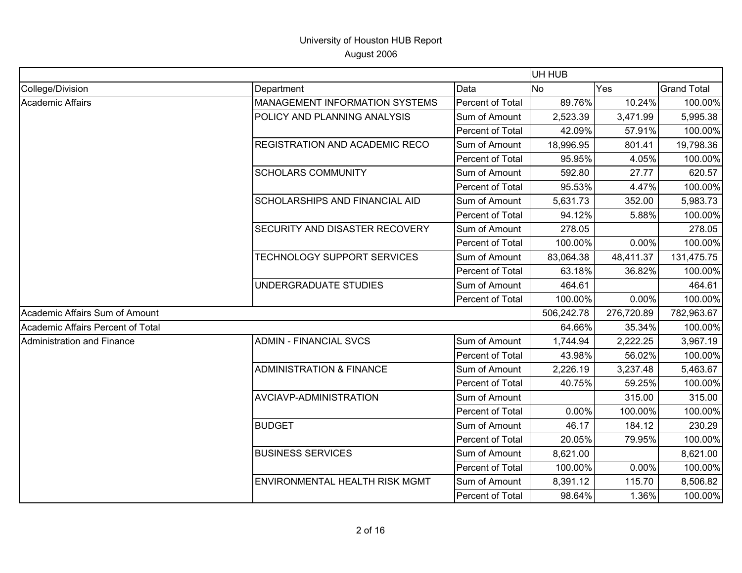|                                   |                                       |                  | UH HUB     |            |                    |
|-----------------------------------|---------------------------------------|------------------|------------|------------|--------------------|
| College/Division                  | Department                            | Data             | <b>No</b>  | Yes        | <b>Grand Total</b> |
| Academic Affairs                  | MANAGEMENT INFORMATION SYSTEMS        | Percent of Total | 89.76%     | 10.24%     | 100.00%            |
|                                   | POLICY AND PLANNING ANALYSIS          | Sum of Amount    | 2,523.39   | 3,471.99   | 5,995.38           |
|                                   |                                       | Percent of Total | 42.09%     | 57.91%     | 100.00%            |
|                                   | REGISTRATION AND ACADEMIC RECO        | Sum of Amount    | 18,996.95  | 801.41     | 19,798.36          |
|                                   |                                       | Percent of Total | 95.95%     | 4.05%      | 100.00%            |
|                                   | <b>SCHOLARS COMMUNITY</b>             | Sum of Amount    | 592.80     | 27.77      | 620.57             |
|                                   |                                       | Percent of Total | 95.53%     | 4.47%      | 100.00%            |
|                                   | SCHOLARSHIPS AND FINANCIAL AID        | Sum of Amount    | 5,631.73   | 352.00     | 5,983.73           |
|                                   |                                       | Percent of Total | 94.12%     | 5.88%      | 100.00%            |
|                                   | SECURITY AND DISASTER RECOVERY        | Sum of Amount    | 278.05     |            | 278.05             |
|                                   |                                       | Percent of Total | 100.00%    | 0.00%      | 100.00%            |
|                                   | TECHNOLOGY SUPPORT SERVICES           | Sum of Amount    | 83,064.38  | 48,411.37  | 131,475.75         |
|                                   |                                       | Percent of Total | 63.18%     | 36.82%     | 100.00%            |
|                                   | UNDERGRADUATE STUDIES                 | Sum of Amount    | 464.61     |            | 464.61             |
|                                   |                                       | Percent of Total | 100.00%    | 0.00%      | 100.00%            |
| Academic Affairs Sum of Amount    |                                       |                  | 506,242.78 | 276,720.89 | 782,963.67         |
| Academic Affairs Percent of Total |                                       |                  | 64.66%     | 35.34%     | 100.00%            |
| Administration and Finance        | <b>ADMIN - FINANCIAL SVCS</b>         | Sum of Amount    | 1,744.94   | 2,222.25   | 3,967.19           |
|                                   |                                       | Percent of Total | 43.98%     | 56.02%     | 100.00%            |
|                                   | <b>ADMINISTRATION &amp; FINANCE</b>   | Sum of Amount    | 2,226.19   | 3,237.48   | 5,463.67           |
|                                   |                                       | Percent of Total | 40.75%     | 59.25%     | 100.00%            |
|                                   | AVCIAVP-ADMINISTRATION                | Sum of Amount    |            | 315.00     | 315.00             |
|                                   |                                       | Percent of Total | 0.00%      | 100.00%    | 100.00%            |
|                                   | <b>BUDGET</b>                         | Sum of Amount    | 46.17      | 184.12     | 230.29             |
|                                   |                                       | Percent of Total | 20.05%     | 79.95%     | 100.00%            |
|                                   | <b>BUSINESS SERVICES</b>              | Sum of Amount    | 8,621.00   |            | 8,621.00           |
|                                   |                                       | Percent of Total | 100.00%    | 0.00%      | 100.00%            |
|                                   | <b>ENVIRONMENTAL HEALTH RISK MGMT</b> | Sum of Amount    | 8,391.12   | 115.70     | 8,506.82           |
|                                   |                                       | Percent of Total | 98.64%     | 1.36%      | 100.00%            |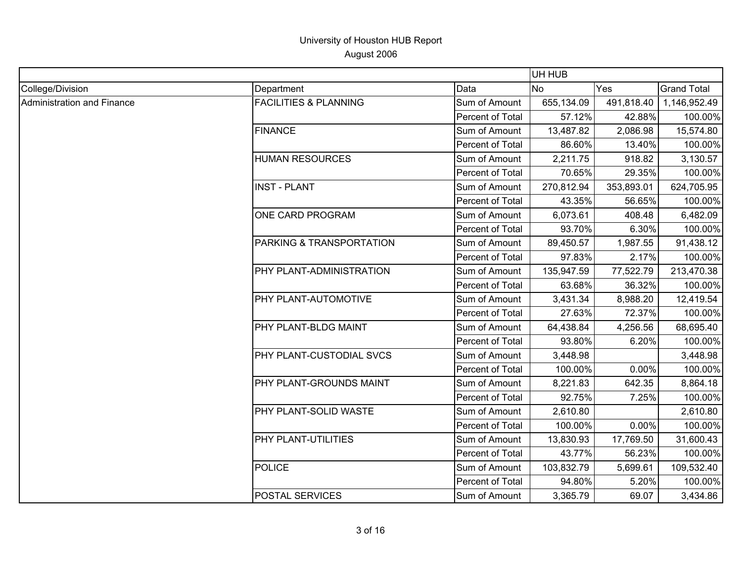|                            |                                  |                  | UH HUB     |            |                    |
|----------------------------|----------------------------------|------------------|------------|------------|--------------------|
| College/Division           | Department                       | Data             | <b>No</b>  | Yes        | <b>Grand Total</b> |
| Administration and Finance | <b>FACILITIES &amp; PLANNING</b> | Sum of Amount    | 655,134.09 | 491,818.40 | 1,146,952.49       |
|                            |                                  | Percent of Total | 57.12%     | 42.88%     | 100.00%            |
|                            | <b>FINANCE</b>                   | Sum of Amount    | 13,487.82  | 2,086.98   | 15,574.80          |
|                            |                                  | Percent of Total | 86.60%     | 13.40%     | 100.00%            |
|                            | <b>HUMAN RESOURCES</b>           | Sum of Amount    | 2,211.75   | 918.82     | 3,130.57           |
|                            |                                  | Percent of Total | 70.65%     | 29.35%     | 100.00%            |
|                            | <b>INST - PLANT</b>              | Sum of Amount    | 270,812.94 | 353,893.01 | 624,705.95         |
|                            |                                  | Percent of Total | 43.35%     | 56.65%     | 100.00%            |
|                            | ONE CARD PROGRAM                 | Sum of Amount    | 6,073.61   | 408.48     | 6,482.09           |
|                            |                                  | Percent of Total | 93.70%     | 6.30%      | 100.00%            |
|                            | PARKING & TRANSPORTATION         | Sum of Amount    | 89,450.57  | 1,987.55   | 91,438.12          |
|                            |                                  | Percent of Total | 97.83%     | 2.17%      | 100.00%            |
|                            | PHY PLANT-ADMINISTRATION         | Sum of Amount    | 135,947.59 | 77,522.79  | 213,470.38         |
|                            |                                  | Percent of Total | 63.68%     | 36.32%     | 100.00%            |
|                            | PHY PLANT-AUTOMOTIVE             | Sum of Amount    | 3,431.34   | 8,988.20   | 12,419.54          |
|                            |                                  | Percent of Total | 27.63%     | 72.37%     | 100.00%            |
|                            | <b>PHY PLANT-BLDG MAINT</b>      | Sum of Amount    | 64,438.84  | 4,256.56   | 68,695.40          |
|                            |                                  | Percent of Total | 93.80%     | 6.20%      | 100.00%            |
|                            | PHY PLANT-CUSTODIAL SVCS         | Sum of Amount    | 3,448.98   |            | 3,448.98           |
|                            |                                  | Percent of Total | 100.00%    | 0.00%      | 100.00%            |
|                            | <b>PHY PLANT-GROUNDS MAINT</b>   | Sum of Amount    | 8,221.83   | 642.35     | 8,864.18           |
|                            |                                  | Percent of Total | 92.75%     | 7.25%      | 100.00%            |
|                            | PHY PLANT-SOLID WASTE            | Sum of Amount    | 2,610.80   |            | 2,610.80           |
|                            |                                  | Percent of Total | 100.00%    | 0.00%      | 100.00%            |
|                            | <b>PHY PLANT-UTILITIES</b>       | Sum of Amount    | 13,830.93  | 17,769.50  | 31,600.43          |
|                            |                                  | Percent of Total | 43.77%     | 56.23%     | 100.00%            |
|                            | POLICE                           | Sum of Amount    | 103,832.79 | 5,699.61   | 109,532.40         |
|                            |                                  | Percent of Total | 94.80%     | 5.20%      | 100.00%            |
|                            | <b>POSTAL SERVICES</b>           | Sum of Amount    | 3,365.79   | 69.07      | 3,434.86           |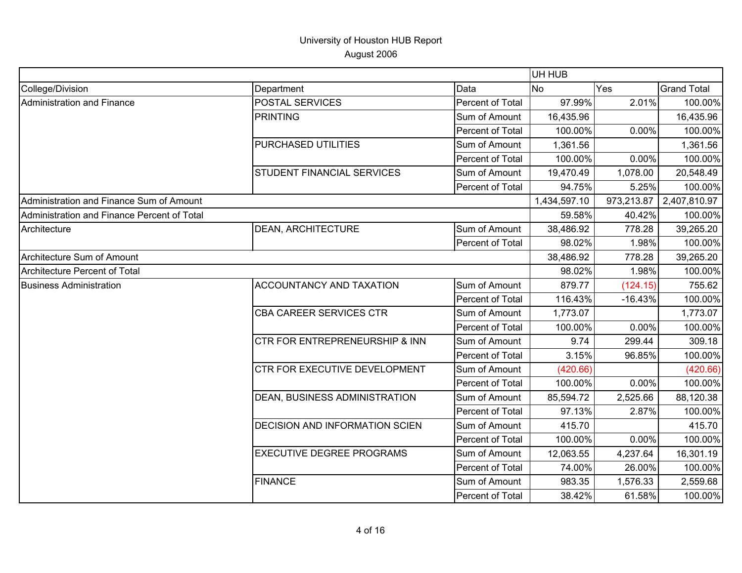|                                             |                                  |                  | UH HUB       |            |                    |
|---------------------------------------------|----------------------------------|------------------|--------------|------------|--------------------|
| College/Division                            | Department                       | Data             | <b>No</b>    | Yes        | <b>Grand Total</b> |
| <b>Administration and Finance</b>           | <b>POSTAL SERVICES</b>           | Percent of Total | 97.99%       | 2.01%      | 100.00%            |
|                                             | <b>PRINTING</b>                  | Sum of Amount    | 16,435.96    |            | 16,435.96          |
|                                             |                                  | Percent of Total | 100.00%      | 0.00%      | 100.00%            |
|                                             | PURCHASED UTILITIES              | Sum of Amount    | 1,361.56     |            | 1,361.56           |
|                                             |                                  | Percent of Total | 100.00%      | 0.00%      | 100.00%            |
|                                             | STUDENT FINANCIAL SERVICES       | Sum of Amount    | 19,470.49    | 1,078.00   | 20,548.49          |
|                                             |                                  | Percent of Total | 94.75%       | 5.25%      | 100.00%            |
| Administration and Finance Sum of Amount    |                                  |                  | 1,434,597.10 | 973,213.87 | 2,407,810.97       |
| Administration and Finance Percent of Total |                                  |                  | 59.58%       | 40.42%     | 100.00%            |
| Architecture                                | <b>DEAN, ARCHITECTURE</b>        | Sum of Amount    | 38,486.92    | 778.28     | 39,265.20          |
|                                             |                                  | Percent of Total | 98.02%       | 1.98%      | 100.00%            |
| Architecture Sum of Amount                  |                                  |                  | 38,486.92    | 778.28     | 39,265.20          |
| Architecture Percent of Total               |                                  |                  | 98.02%       | 1.98%      | 100.00%            |
| <b>Business Administration</b>              | ACCOUNTANCY AND TAXATION         | Sum of Amount    | 879.77       | (124.15)   | 755.62             |
|                                             |                                  | Percent of Total | 116.43%      | $-16.43%$  | 100.00%            |
|                                             | <b>CBA CAREER SERVICES CTR</b>   | Sum of Amount    | 1,773.07     |            | 1,773.07           |
|                                             |                                  | Percent of Total | 100.00%      | 0.00%      | 100.00%            |
|                                             | CTR FOR ENTREPRENEURSHIP & INN   | Sum of Amount    | 9.74         | 299.44     | 309.18             |
|                                             |                                  | Percent of Total | 3.15%        | 96.85%     | 100.00%            |
|                                             | CTR FOR EXECUTIVE DEVELOPMENT    | Sum of Amount    | (420.66)     |            | (420.66)           |
|                                             |                                  | Percent of Total | 100.00%      | 0.00%      | 100.00%            |
|                                             | DEAN, BUSINESS ADMINISTRATION    | Sum of Amount    | 85,594.72    | 2,525.66   | 88,120.38          |
|                                             |                                  | Percent of Total | 97.13%       | 2.87%      | 100.00%            |
|                                             | DECISION AND INFORMATION SCIEN   | Sum of Amount    | 415.70       |            | 415.70             |
|                                             |                                  | Percent of Total | 100.00%      | 0.00%      | 100.00%            |
|                                             | <b>EXECUTIVE DEGREE PROGRAMS</b> | Sum of Amount    | 12,063.55    | 4,237.64   | 16,301.19          |
|                                             |                                  | Percent of Total | 74.00%       | 26.00%     | 100.00%            |
|                                             | <b>FINANCE</b>                   | Sum of Amount    | 983.35       | 1,576.33   | 2,559.68           |
|                                             |                                  | Percent of Total | 38.42%       | 61.58%     | 100.00%            |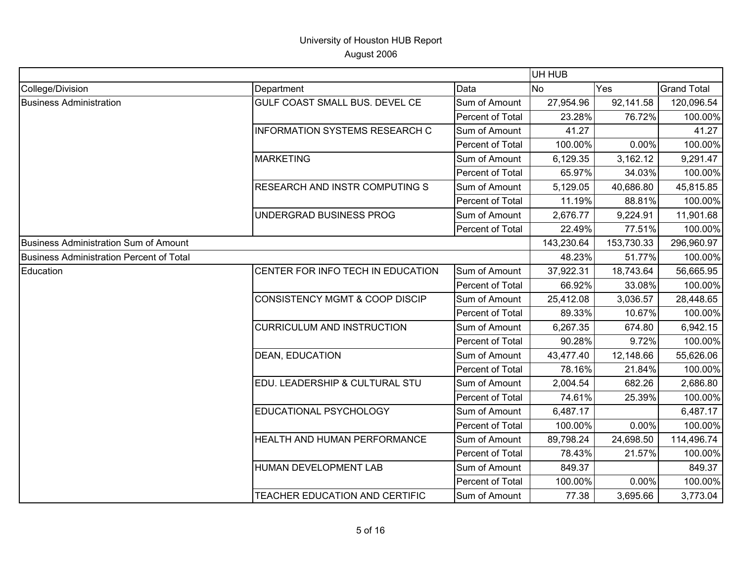|                                                 |                                           |                  | UH HUB     |            |                    |
|-------------------------------------------------|-------------------------------------------|------------------|------------|------------|--------------------|
| College/Division                                | Department                                | Data             | <b>No</b>  | Yes        | <b>Grand Total</b> |
| <b>Business Administration</b>                  | GULF COAST SMALL BUS. DEVEL CE            | Sum of Amount    | 27,954.96  | 92,141.58  | 120,096.54         |
|                                                 |                                           | Percent of Total | 23.28%     | 76.72%     | 100.00%            |
|                                                 | <b>INFORMATION SYSTEMS RESEARCH C</b>     | Sum of Amount    | 41.27      |            | 41.27              |
|                                                 |                                           | Percent of Total | 100.00%    | 0.00%      | 100.00%            |
|                                                 | <b>MARKETING</b>                          | Sum of Amount    | 6,129.35   | 3,162.12   | 9,291.47           |
|                                                 |                                           | Percent of Total | 65.97%     | 34.03%     | 100.00%            |
|                                                 | <b>RESEARCH AND INSTR COMPUTING S</b>     | Sum of Amount    | 5,129.05   | 40,686.80  | 45,815.85          |
|                                                 |                                           | Percent of Total | 11.19%     | 88.81%     | 100.00%            |
|                                                 | UNDERGRAD BUSINESS PROG                   | Sum of Amount    | 2,676.77   | 9,224.91   | 11,901.68          |
|                                                 |                                           | Percent of Total | 22.49%     | 77.51%     | 100.00%            |
| <b>Business Administration Sum of Amount</b>    |                                           |                  | 143,230.64 | 153,730.33 | 296,960.97         |
| <b>Business Administration Percent of Total</b> |                                           |                  | 48.23%     | 51.77%     | 100.00%            |
| Education                                       | CENTER FOR INFO TECH IN EDUCATION         | Sum of Amount    | 37,922.31  | 18,743.64  | 56,665.95          |
|                                                 |                                           | Percent of Total | 66.92%     | 33.08%     | 100.00%            |
|                                                 | <b>CONSISTENCY MGMT &amp; COOP DISCIP</b> | Sum of Amount    | 25,412.08  | 3,036.57   | 28,448.65          |
|                                                 |                                           | Percent of Total | 89.33%     | 10.67%     | 100.00%            |
|                                                 | <b>CURRICULUM AND INSTRUCTION</b>         | Sum of Amount    | 6,267.35   | 674.80     | 6,942.15           |
|                                                 |                                           | Percent of Total | 90.28%     | 9.72%      | 100.00%            |
|                                                 | <b>DEAN, EDUCATION</b>                    | Sum of Amount    | 43,477.40  | 12,148.66  | 55,626.06          |
|                                                 |                                           | Percent of Total | 78.16%     | 21.84%     | 100.00%            |
|                                                 | EDU. LEADERSHIP & CULTURAL STU            | Sum of Amount    | 2,004.54   | 682.26     | 2,686.80           |
|                                                 |                                           | Percent of Total | 74.61%     | 25.39%     | 100.00%            |
|                                                 | EDUCATIONAL PSYCHOLOGY                    | Sum of Amount    | 6,487.17   |            | 6,487.17           |
|                                                 |                                           | Percent of Total | 100.00%    | 0.00%      | 100.00%            |
|                                                 | HEALTH AND HUMAN PERFORMANCE              | Sum of Amount    | 89,798.24  | 24,698.50  | 114,496.74         |
|                                                 |                                           | Percent of Total | 78.43%     | 21.57%     | 100.00%            |
|                                                 | HUMAN DEVELOPMENT LAB                     | Sum of Amount    | 849.37     |            | 849.37             |
|                                                 |                                           | Percent of Total | 100.00%    | 0.00%      | 100.00%            |
|                                                 | TEACHER EDUCATION AND CERTIFIC            | Sum of Amount    | 77.38      | 3,695.66   | 3,773.04           |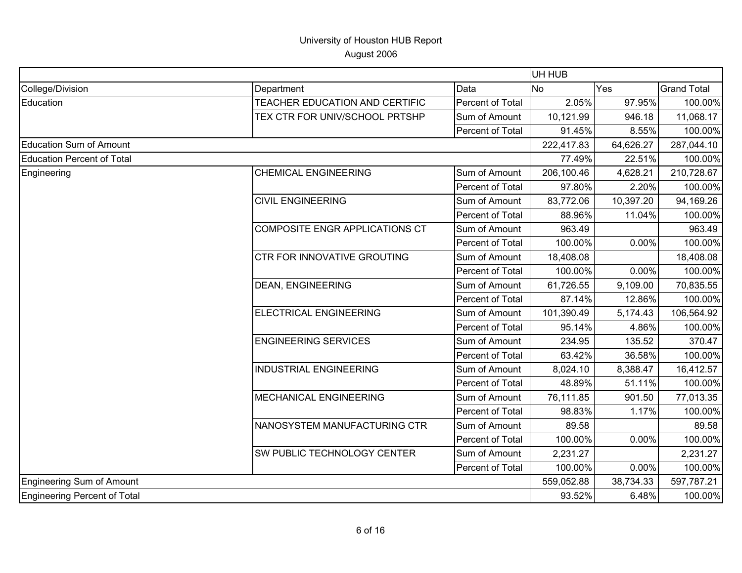|                                   |                                       |                  | UH HUB     |            |                    |
|-----------------------------------|---------------------------------------|------------------|------------|------------|--------------------|
| College/Division                  | Department                            | Data             | <b>No</b>  | Yes        | <b>Grand Total</b> |
| Education                         | TEACHER EDUCATION AND CERTIFIC        | Percent of Total | 2.05%      | 97.95%     | 100.00%            |
|                                   | TEX CTR FOR UNIV/SCHOOL PRTSHP        | Sum of Amount    | 10,121.99  | 946.18     | 11,068.17          |
|                                   |                                       | Percent of Total | 91.45%     | 8.55%      | 100.00%            |
| <b>Education Sum of Amount</b>    |                                       |                  | 222,417.83 | 64,626.27  | 287,044.10         |
| <b>Education Percent of Total</b> |                                       |                  | 77.49%     | 22.51%     | 100.00%            |
| Engineering                       | <b>CHEMICAL ENGINEERING</b>           | Sum of Amount    | 206,100.46 | 4,628.21   | 210,728.67         |
|                                   |                                       | Percent of Total | 97.80%     | 2.20%      | 100.00%            |
|                                   | <b>CIVIL ENGINEERING</b>              | Sum of Amount    | 83,772.06  | 10,397.20  | 94,169.26          |
|                                   |                                       | Percent of Total | 88.96%     | 11.04%     | 100.00%            |
|                                   | <b>COMPOSITE ENGR APPLICATIONS CT</b> | Sum of Amount    | 963.49     |            | 963.49             |
|                                   |                                       | Percent of Total | 100.00%    | 0.00%      | 100.00%            |
|                                   | CTR FOR INNOVATIVE GROUTING           | Sum of Amount    | 18,408.08  |            | 18,408.08          |
|                                   |                                       | Percent of Total | 100.00%    | 0.00%      | 100.00%            |
|                                   | <b>DEAN, ENGINEERING</b>              | Sum of Amount    | 61,726.55  | 9,109.00   | 70,835.55          |
|                                   |                                       | Percent of Total | 87.14%     | 12.86%     | 100.00%            |
|                                   | <b>ELECTRICAL ENGINEERING</b>         | Sum of Amount    | 101,390.49 | 5,174.43   | 106,564.92         |
|                                   |                                       | Percent of Total | 95.14%     | 4.86%      | 100.00%            |
|                                   | <b>ENGINEERING SERVICES</b>           | Sum of Amount    | 234.95     | 135.52     | 370.47             |
|                                   |                                       | Percent of Total | 63.42%     | 36.58%     | 100.00%            |
|                                   | <b>INDUSTRIAL ENGINEERING</b>         | Sum of Amount    | 8,024.10   | 8,388.47   | 16,412.57          |
|                                   |                                       | Percent of Total | 48.89%     | 51.11%     | 100.00%            |
|                                   | <b>MECHANICAL ENGINEERING</b>         | Sum of Amount    | 76,111.85  | 901.50     | 77,013.35          |
|                                   |                                       | Percent of Total | 98.83%     | 1.17%      | 100.00%            |
|                                   | NANOSYSTEM MANUFACTURING CTR          | Sum of Amount    | 89.58      |            | 89.58              |
|                                   |                                       | Percent of Total | 100.00%    | 0.00%      | 100.00%            |
|                                   | SW PUBLIC TECHNOLOGY CENTER           | Sum of Amount    | 2,231.27   |            | 2,231.27           |
|                                   |                                       | Percent of Total | 100.00%    | 0.00%      | 100.00%            |
| Engineering Sum of Amount         |                                       | 559,052.88       | 38,734.33  | 597,787.21 |                    |
| Engineering Percent of Total      |                                       |                  | 93.52%     | 6.48%      | 100.00%            |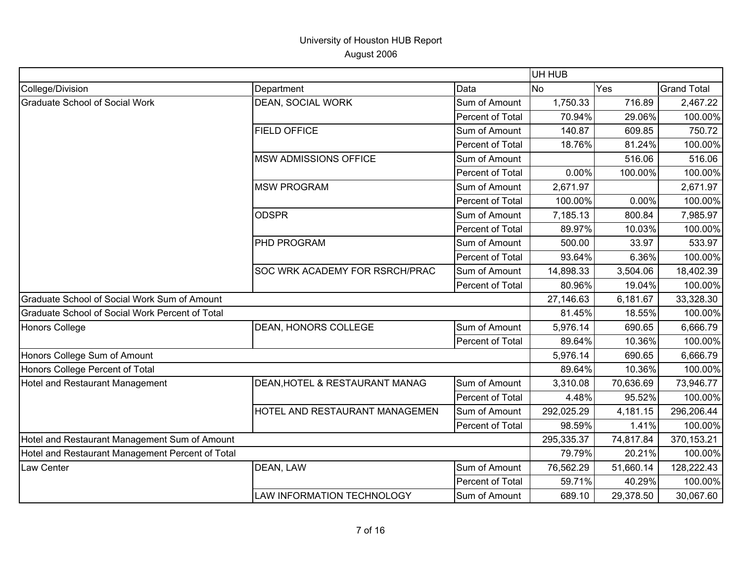| College/Division                                 | Department                     | Data             | No         | Yes       | <b>Grand Total</b> |
|--------------------------------------------------|--------------------------------|------------------|------------|-----------|--------------------|
| <b>Graduate School of Social Work</b>            | DEAN, SOCIAL WORK              | Sum of Amount    | 1,750.33   | 716.89    | 2,467.22           |
|                                                  |                                | Percent of Total | 70.94%     | 29.06%    | 100.00%            |
|                                                  | <b>FIELD OFFICE</b>            | Sum of Amount    | 140.87     | 609.85    | 750.72             |
|                                                  |                                | Percent of Total | 18.76%     | 81.24%    | 100.00%            |
|                                                  | <b>MSW ADMISSIONS OFFICE</b>   | Sum of Amount    |            | 516.06    | 516.06             |
|                                                  |                                | Percent of Total | 0.00%      | 100.00%   | 100.00%            |
|                                                  | <b>MSW PROGRAM</b>             | Sum of Amount    | 2,671.97   |           | 2,671.97           |
|                                                  |                                | Percent of Total | 100.00%    | 0.00%     | 100.00%            |
|                                                  | <b>ODSPR</b>                   | Sum of Amount    | 7,185.13   | 800.84    | 7,985.97           |
|                                                  |                                | Percent of Total | 89.97%     | 10.03%    | 100.00%            |
|                                                  | PHD PROGRAM                    | Sum of Amount    | 500.00     | 33.97     | 533.97             |
|                                                  |                                | Percent of Total | 93.64%     | 6.36%     | 100.00%            |
|                                                  | SOC WRK ACADEMY FOR RSRCH/PRAC | Sum of Amount    | 14,898.33  | 3,504.06  | 18,402.39          |
|                                                  |                                | Percent of Total | 80.96%     | 19.04%    | 100.00%            |
| Graduate School of Social Work Sum of Amount     |                                |                  | 27,146.63  | 6,181.67  | 33,328.30          |
| Graduate School of Social Work Percent of Total  |                                |                  | 81.45%     | 18.55%    | 100.00%            |
| <b>Honors College</b>                            | DEAN, HONORS COLLEGE           | Sum of Amount    | 5,976.14   | 690.65    | 6,666.79           |
|                                                  |                                | Percent of Total | 89.64%     | 10.36%    | 100.00%            |
| Honors College Sum of Amount                     |                                |                  | 5,976.14   | 690.65    | 6,666.79           |
| Honors College Percent of Total                  |                                |                  | 89.64%     | 10.36%    | 100.00%            |
| Hotel and Restaurant Management                  | DEAN, HOTEL & RESTAURANT MANAG | Sum of Amount    | 3,310.08   | 70,636.69 | 73,946.77          |
|                                                  |                                | Percent of Total | 4.48%      | 95.52%    | 100.00%            |
|                                                  | HOTEL AND RESTAURANT MANAGEMEN | Sum of Amount    | 292,025.29 | 4,181.15  | 296,206.44         |
|                                                  |                                | Percent of Total | 98.59%     | 1.41%     | 100.00%            |
| Hotel and Restaurant Management Sum of Amount    |                                |                  | 295,335.37 | 74,817.84 | 370,153.21         |
| Hotel and Restaurant Management Percent of Total |                                |                  | 79.79%     | 20.21%    | 100.00%            |
| Law Center                                       | DEAN, LAW                      | Sum of Amount    | 76,562.29  | 51,660.14 | 128,222.43         |
|                                                  |                                | Percent of Total | 59.71%     | 40.29%    | 100.00%            |
|                                                  | LAW INFORMATION TECHNOLOGY     | Sum of Amount    | 689.10     | 29,378.50 | 30,067.60          |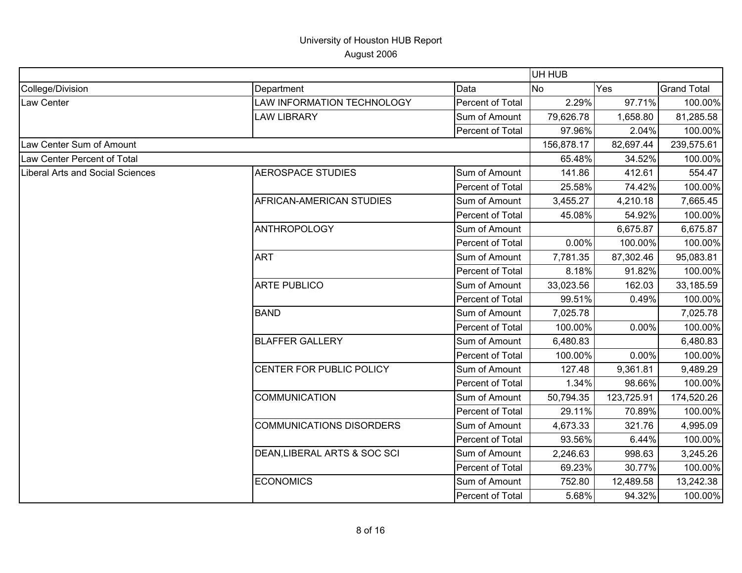|                                  |                                 | UH HUB           |            |            |                    |
|----------------------------------|---------------------------------|------------------|------------|------------|--------------------|
| College/Division                 | Department                      | Data             | <b>No</b>  | Yes        | <b>Grand Total</b> |
| Law Center                       | LAW INFORMATION TECHNOLOGY      | Percent of Total | 2.29%      | 97.71%     | 100.00%            |
|                                  | <b>LAW LIBRARY</b>              | Sum of Amount    | 79,626.78  | 1,658.80   | 81,285.58          |
|                                  |                                 | Percent of Total | 97.96%     | 2.04%      | 100.00%            |
| Law Center Sum of Amount         |                                 |                  | 156,878.17 | 82,697.44  | 239,575.61         |
| Law Center Percent of Total      |                                 |                  | 65.48%     | 34.52%     | 100.00%            |
| Liberal Arts and Social Sciences | <b>AEROSPACE STUDIES</b>        | Sum of Amount    | 141.86     | 412.61     | 554.47             |
|                                  |                                 | Percent of Total | 25.58%     | 74.42%     | 100.00%            |
|                                  | AFRICAN-AMERICAN STUDIES        | Sum of Amount    | 3,455.27   | 4,210.18   | 7,665.45           |
|                                  |                                 | Percent of Total | 45.08%     | 54.92%     | 100.00%            |
|                                  | <b>ANTHROPOLOGY</b>             | Sum of Amount    |            | 6,675.87   | 6,675.87           |
|                                  |                                 | Percent of Total | 0.00%      | 100.00%    | 100.00%            |
|                                  | <b>ART</b>                      | Sum of Amount    | 7,781.35   | 87,302.46  | 95,083.81          |
|                                  |                                 | Percent of Total | 8.18%      | 91.82%     | 100.00%            |
|                                  | <b>ARTE PUBLICO</b>             | Sum of Amount    | 33,023.56  | 162.03     | 33,185.59          |
|                                  |                                 | Percent of Total | 99.51%     | 0.49%      | 100.00%            |
|                                  | <b>BAND</b>                     | Sum of Amount    | 7,025.78   |            | 7,025.78           |
|                                  |                                 | Percent of Total | 100.00%    | 0.00%      | 100.00%            |
|                                  | <b>BLAFFER GALLERY</b>          | Sum of Amount    | 6,480.83   |            | 6,480.83           |
|                                  |                                 | Percent of Total | 100.00%    | 0.00%      | 100.00%            |
|                                  | CENTER FOR PUBLIC POLICY        | Sum of Amount    | 127.48     | 9,361.81   | 9,489.29           |
|                                  |                                 | Percent of Total | 1.34%      | 98.66%     | 100.00%            |
|                                  | <b>COMMUNICATION</b>            | Sum of Amount    | 50,794.35  | 123,725.91 | 174,520.26         |
|                                  |                                 | Percent of Total | 29.11%     | 70.89%     | 100.00%            |
|                                  | <b>COMMUNICATIONS DISORDERS</b> | Sum of Amount    | 4,673.33   | 321.76     | 4,995.09           |
|                                  |                                 | Percent of Total | 93.56%     | 6.44%      | 100.00%            |
|                                  | DEAN, LIBERAL ARTS & SOC SCI    | Sum of Amount    | 2,246.63   | 998.63     | 3,245.26           |
|                                  |                                 | Percent of Total | 69.23%     | 30.77%     | 100.00%            |
|                                  | <b>ECONOMICS</b>                | Sum of Amount    | 752.80     | 12,489.58  | 13,242.38          |
|                                  |                                 | Percent of Total | 5.68%      | 94.32%     | 100.00%            |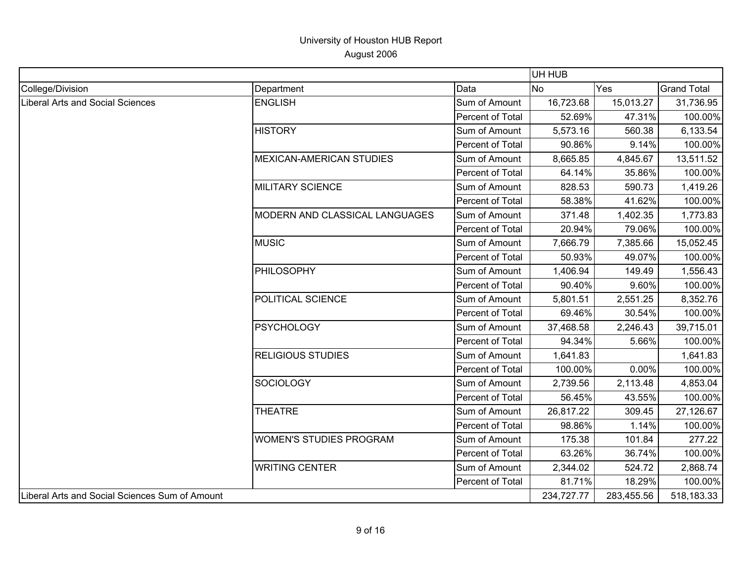|                                                |                                 |                  | UH HUB     |            |                    |
|------------------------------------------------|---------------------------------|------------------|------------|------------|--------------------|
| College/Division                               | Department                      | Data             | No         | Yes        | <b>Grand Total</b> |
| Liberal Arts and Social Sciences               | <b>ENGLISH</b>                  | Sum of Amount    | 16,723.68  | 15,013.27  | 31,736.95          |
|                                                |                                 | Percent of Total | 52.69%     | 47.31%     | 100.00%            |
|                                                | <b>HISTORY</b>                  | Sum of Amount    | 5,573.16   | 560.38     | 6,133.54           |
|                                                |                                 | Percent of Total | 90.86%     | 9.14%      | 100.00%            |
|                                                | <b>MEXICAN-AMERICAN STUDIES</b> | Sum of Amount    | 8,665.85   | 4,845.67   | 13,511.52          |
|                                                |                                 | Percent of Total | 64.14%     | 35.86%     | 100.00%            |
|                                                | <b>MILITARY SCIENCE</b>         | Sum of Amount    | 828.53     | 590.73     | 1,419.26           |
|                                                |                                 | Percent of Total | 58.38%     | 41.62%     | 100.00%            |
|                                                | MODERN AND CLASSICAL LANGUAGES  | Sum of Amount    | 371.48     | 1,402.35   | 1,773.83           |
|                                                |                                 | Percent of Total | 20.94%     | 79.06%     | 100.00%            |
|                                                | <b>MUSIC</b>                    | Sum of Amount    | 7,666.79   | 7,385.66   | 15,052.45          |
|                                                |                                 | Percent of Total | 50.93%     | 49.07%     | 100.00%            |
|                                                | PHILOSOPHY                      | Sum of Amount    | 1,406.94   | 149.49     | 1,556.43           |
|                                                |                                 | Percent of Total | 90.40%     | 9.60%      | 100.00%            |
|                                                | POLITICAL SCIENCE               | Sum of Amount    | 5,801.51   | 2,551.25   | 8,352.76           |
|                                                |                                 | Percent of Total | 69.46%     | 30.54%     | 100.00%            |
|                                                | <b>PSYCHOLOGY</b>               | Sum of Amount    | 37,468.58  | 2,246.43   | 39,715.01          |
|                                                |                                 | Percent of Total | 94.34%     | 5.66%      | 100.00%            |
|                                                | <b>RELIGIOUS STUDIES</b>        | Sum of Amount    | 1,641.83   |            | 1,641.83           |
|                                                |                                 | Percent of Total | 100.00%    | 0.00%      | 100.00%            |
|                                                | SOCIOLOGY                       | Sum of Amount    | 2,739.56   | 2,113.48   | 4,853.04           |
|                                                |                                 | Percent of Total | 56.45%     | 43.55%     | 100.00%            |
|                                                | <b>THEATRE</b>                  | Sum of Amount    | 26,817.22  | 309.45     | 27,126.67          |
|                                                |                                 | Percent of Total | 98.86%     | 1.14%      | 100.00%            |
|                                                | <b>WOMEN'S STUDIES PROGRAM</b>  | Sum of Amount    | 175.38     | 101.84     | 277.22             |
|                                                |                                 | Percent of Total | 63.26%     | 36.74%     | 100.00%            |
|                                                | <b>WRITING CENTER</b>           | Sum of Amount    | 2,344.02   | 524.72     | 2,868.74           |
|                                                |                                 | Percent of Total | 81.71%     | 18.29%     | 100.00%            |
| Liberal Arts and Social Sciences Sum of Amount |                                 |                  | 234,727.77 | 283,455.56 | 518,183.33         |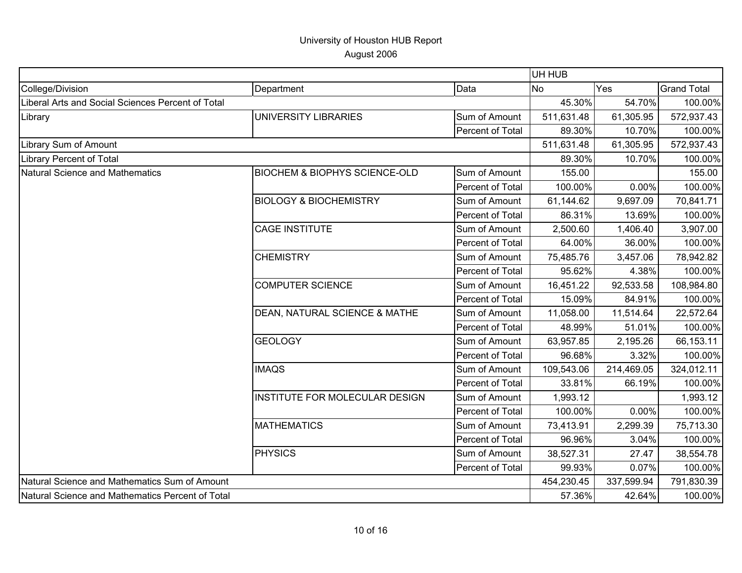|                                                   |                                          |                  | UH HUB     |            |                    |
|---------------------------------------------------|------------------------------------------|------------------|------------|------------|--------------------|
| College/Division                                  | Department                               | Data             | <b>No</b>  | Yes        | <b>Grand Total</b> |
| Liberal Arts and Social Sciences Percent of Total |                                          | 45.30%           | 54.70%     | 100.00%    |                    |
| Library                                           | UNIVERSITY LIBRARIES                     | Sum of Amount    | 511,631.48 | 61,305.95  | 572,937.43         |
|                                                   |                                          | Percent of Total | 89.30%     | 10.70%     | 100.00%            |
| Library Sum of Amount                             |                                          |                  | 511,631.48 | 61,305.95  | 572,937.43         |
| <b>Library Percent of Total</b>                   |                                          |                  | 89.30%     | 10.70%     | 100.00%            |
| Natural Science and Mathematics                   | <b>BIOCHEM &amp; BIOPHYS SCIENCE-OLD</b> | Sum of Amount    | 155.00     |            | 155.00             |
|                                                   |                                          | Percent of Total | 100.00%    | 0.00%      | 100.00%            |
|                                                   | <b>BIOLOGY &amp; BIOCHEMISTRY</b>        | Sum of Amount    | 61,144.62  | 9,697.09   | 70,841.71          |
|                                                   |                                          | Percent of Total | 86.31%     | 13.69%     | 100.00%            |
|                                                   | <b>CAGE INSTITUTE</b>                    | Sum of Amount    | 2,500.60   | 1,406.40   | 3,907.00           |
|                                                   |                                          | Percent of Total | 64.00%     | 36.00%     | 100.00%            |
|                                                   | <b>CHEMISTRY</b>                         | Sum of Amount    | 75,485.76  | 3,457.06   | 78,942.82          |
|                                                   |                                          | Percent of Total | 95.62%     | 4.38%      | 100.00%            |
|                                                   | <b>COMPUTER SCIENCE</b>                  | Sum of Amount    | 16,451.22  | 92,533.58  | 108,984.80         |
|                                                   |                                          | Percent of Total | 15.09%     | 84.91%     | 100.00%            |
|                                                   | DEAN, NATURAL SCIENCE & MATHE            | Sum of Amount    | 11,058.00  | 11,514.64  | 22,572.64          |
|                                                   |                                          | Percent of Total | 48.99%     | 51.01%     | 100.00%            |
|                                                   | <b>GEOLOGY</b>                           | Sum of Amount    | 63,957.85  | 2,195.26   | 66,153.11          |
|                                                   |                                          | Percent of Total | 96.68%     | 3.32%      | 100.00%            |
|                                                   | <b>IMAQS</b>                             | Sum of Amount    | 109,543.06 | 214,469.05 | 324,012.11         |
|                                                   |                                          | Percent of Total | 33.81%     | 66.19%     | 100.00%            |
|                                                   | INSTITUTE FOR MOLECULAR DESIGN           | Sum of Amount    | 1,993.12   |            | 1,993.12           |
|                                                   |                                          | Percent of Total | 100.00%    | 0.00%      | 100.00%            |
|                                                   | <b>MATHEMATICS</b>                       | Sum of Amount    | 73,413.91  | 2,299.39   | 75,713.30          |
|                                                   |                                          | Percent of Total | 96.96%     | 3.04%      | 100.00%            |
|                                                   | <b>PHYSICS</b>                           | Sum of Amount    | 38,527.31  | 27.47      | 38,554.78          |
|                                                   |                                          | Percent of Total | 99.93%     | 0.07%      | 100.00%            |
| Natural Science and Mathematics Sum of Amount     |                                          |                  | 454,230.45 | 337,599.94 | 791,830.39         |
| Natural Science and Mathematics Percent of Total  |                                          |                  | 57.36%     | 42.64%     | 100.00%            |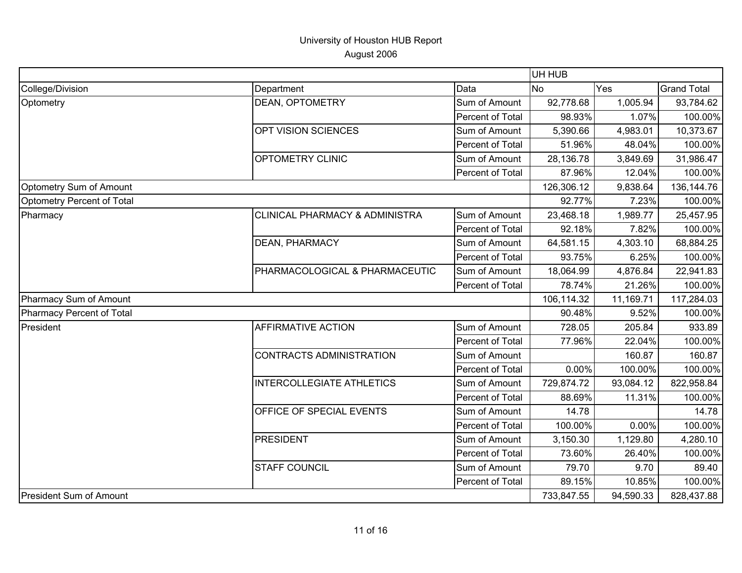|                                |                                           |                  | UH HUB     |           |                    |
|--------------------------------|-------------------------------------------|------------------|------------|-----------|--------------------|
| College/Division               | Department                                | Data             | <b>No</b>  | Yes       | <b>Grand Total</b> |
| Optometry                      | DEAN, OPTOMETRY                           | Sum of Amount    | 92,778.68  | 1,005.94  | 93,784.62          |
|                                |                                           | Percent of Total | 98.93%     | 1.07%     | 100.00%            |
|                                | OPT VISION SCIENCES                       | Sum of Amount    | 5,390.66   | 4,983.01  | 10,373.67          |
|                                |                                           | Percent of Total | 51.96%     | 48.04%    | 100.00%            |
|                                | <b>OPTOMETRY CLINIC</b>                   | Sum of Amount    | 28,136.78  | 3,849.69  | 31,986.47          |
|                                |                                           | Percent of Total | 87.96%     | 12.04%    | 100.00%            |
| Optometry Sum of Amount        |                                           |                  | 126,306.12 | 9,838.64  | 136,144.76         |
| Optometry Percent of Total     |                                           |                  | 92.77%     | 7.23%     | 100.00%            |
| Pharmacy                       | <b>CLINICAL PHARMACY &amp; ADMINISTRA</b> | Sum of Amount    | 23,468.18  | 1,989.77  | 25,457.95          |
|                                |                                           | Percent of Total | 92.18%     | 7.82%     | 100.00%            |
|                                | DEAN, PHARMACY                            | Sum of Amount    | 64,581.15  | 4,303.10  | 68,884.25          |
|                                |                                           | Percent of Total | 93.75%     | 6.25%     | 100.00%            |
|                                | PHARMACOLOGICAL & PHARMACEUTIC            | Sum of Amount    | 18,064.99  | 4,876.84  | 22,941.83          |
|                                |                                           | Percent of Total | 78.74%     | 21.26%    | 100.00%            |
| Pharmacy Sum of Amount         |                                           |                  | 106,114.32 | 11,169.71 | 117,284.03         |
| Pharmacy Percent of Total      |                                           |                  | 90.48%     | 9.52%     | 100.00%            |
| President                      | AFFIRMATIVE ACTION                        | Sum of Amount    | 728.05     | 205.84    | 933.89             |
|                                |                                           | Percent of Total | 77.96%     | 22.04%    | 100.00%            |
|                                | <b>CONTRACTS ADMINISTRATION</b>           | Sum of Amount    |            | 160.87    | 160.87             |
|                                |                                           | Percent of Total | 0.00%      | 100.00%   | 100.00%            |
|                                | <b>INTERCOLLEGIATE ATHLETICS</b>          | Sum of Amount    | 729,874.72 | 93,084.12 | 822,958.84         |
|                                |                                           | Percent of Total | 88.69%     | 11.31%    | 100.00%            |
|                                | OFFICE OF SPECIAL EVENTS                  | Sum of Amount    | 14.78      |           | 14.78              |
|                                |                                           | Percent of Total | 100.00%    | 0.00%     | 100.00%            |
|                                | <b>PRESIDENT</b>                          | Sum of Amount    | 3,150.30   | 1,129.80  | 4,280.10           |
|                                |                                           | Percent of Total | 73.60%     | 26.40%    | 100.00%            |
|                                | <b>STAFF COUNCIL</b>                      | Sum of Amount    | 79.70      | 9.70      | 89.40              |
|                                |                                           | Percent of Total | 89.15%     | 10.85%    | 100.00%            |
| <b>President Sum of Amount</b> |                                           |                  | 733,847.55 | 94,590.33 | 828,437.88         |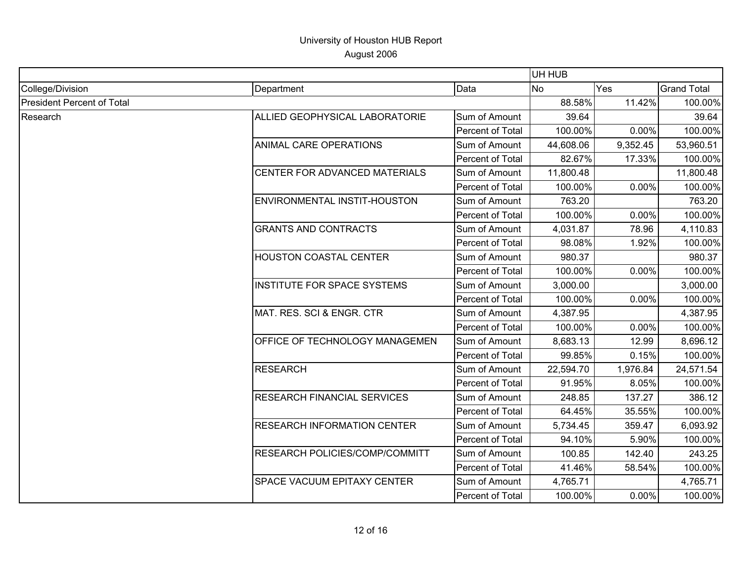|                                   |                                     | UH HUB           |           |          |                    |
|-----------------------------------|-------------------------------------|------------------|-----------|----------|--------------------|
| College/Division                  | Department                          | Data             | <b>No</b> | Yes      | <b>Grand Total</b> |
| <b>President Percent of Total</b> |                                     |                  | 88.58%    | 11.42%   | 100.00%            |
| Research                          | ALLIED GEOPHYSICAL LABORATORIE      | Sum of Amount    | 39.64     |          | 39.64              |
|                                   |                                     | Percent of Total | 100.00%   | 0.00%    | 100.00%            |
|                                   | ANIMAL CARE OPERATIONS              | Sum of Amount    | 44,608.06 | 9,352.45 | 53,960.51          |
|                                   |                                     | Percent of Total | 82.67%    | 17.33%   | 100.00%            |
|                                   | CENTER FOR ADVANCED MATERIALS       | Sum of Amount    | 11,800.48 |          | 11,800.48          |
|                                   |                                     | Percent of Total | 100.00%   | 0.00%    | 100.00%            |
|                                   | <b>ENVIRONMENTAL INSTIT-HOUSTON</b> | Sum of Amount    | 763.20    |          | 763.20             |
|                                   |                                     | Percent of Total | 100.00%   | 0.00%    | 100.00%            |
|                                   | <b>GRANTS AND CONTRACTS</b>         | Sum of Amount    | 4,031.87  | 78.96    | 4,110.83           |
|                                   |                                     | Percent of Total | 98.08%    | 1.92%    | 100.00%            |
|                                   | <b>HOUSTON COASTAL CENTER</b>       | Sum of Amount    | 980.37    |          | 980.37             |
|                                   |                                     | Percent of Total | 100.00%   | 0.00%    | 100.00%            |
|                                   | <b>INSTITUTE FOR SPACE SYSTEMS</b>  | Sum of Amount    | 3,000.00  |          | 3,000.00           |
|                                   |                                     | Percent of Total | 100.00%   | 0.00%    | 100.00%            |
|                                   | MAT. RES. SCI & ENGR. CTR           | Sum of Amount    | 4,387.95  |          | 4,387.95           |
|                                   |                                     | Percent of Total | 100.00%   | 0.00%    | 100.00%            |
|                                   | OFFICE OF TECHNOLOGY MANAGEMEN      | Sum of Amount    | 8,683.13  | 12.99    | 8,696.12           |
|                                   |                                     | Percent of Total | 99.85%    | 0.15%    | 100.00%            |
|                                   | <b>RESEARCH</b>                     | Sum of Amount    | 22,594.70 | 1,976.84 | 24,571.54          |
|                                   |                                     | Percent of Total | 91.95%    | 8.05%    | 100.00%            |
|                                   | <b>RESEARCH FINANCIAL SERVICES</b>  | Sum of Amount    | 248.85    | 137.27   | 386.12             |
|                                   |                                     | Percent of Total | 64.45%    | 35.55%   | 100.00%            |
|                                   | <b>RESEARCH INFORMATION CENTER</b>  | Sum of Amount    | 5,734.45  | 359.47   | 6,093.92           |
|                                   |                                     | Percent of Total | 94.10%    | 5.90%    | 100.00%            |
|                                   | RESEARCH POLICIES/COMP/COMMITT      | Sum of Amount    | 100.85    | 142.40   | 243.25             |
|                                   |                                     | Percent of Total | 41.46%    | 58.54%   | 100.00%            |
|                                   | <b>SPACE VACUUM EPITAXY CENTER</b>  | Sum of Amount    | 4,765.71  |          | 4,765.71           |
|                                   |                                     | Percent of Total | 100.00%   | 0.00%    | 100.00%            |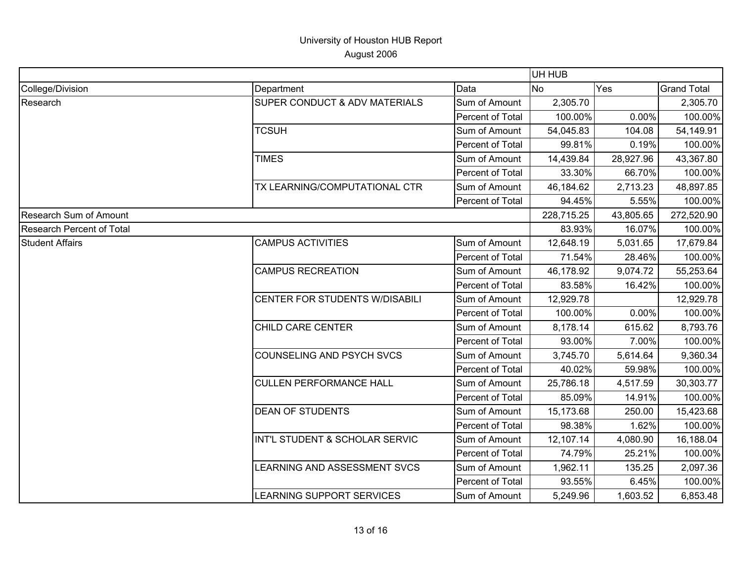|                                  |                                |                  | UH HUB     |           |                    |
|----------------------------------|--------------------------------|------------------|------------|-----------|--------------------|
| College/Division                 | Department                     | Data             | <b>No</b>  | Yes       | <b>Grand Total</b> |
| Research                         | SUPER CONDUCT & ADV MATERIALS  | Sum of Amount    | 2,305.70   |           | 2,305.70           |
|                                  |                                | Percent of Total | 100.00%    | 0.00%     | 100.00%            |
|                                  | <b>TCSUH</b>                   | Sum of Amount    | 54,045.83  | 104.08    | 54,149.91          |
|                                  |                                | Percent of Total | 99.81%     | 0.19%     | 100.00%            |
|                                  | <b>TIMES</b>                   | Sum of Amount    | 14,439.84  | 28,927.96 | 43,367.80          |
|                                  |                                | Percent of Total | 33.30%     | 66.70%    | 100.00%            |
|                                  | TX LEARNING/COMPUTATIONAL CTR  | Sum of Amount    | 46,184.62  | 2,713.23  | 48,897.85          |
|                                  |                                | Percent of Total | 94.45%     | 5.55%     | 100.00%            |
| <b>Research Sum of Amount</b>    |                                |                  | 228,715.25 | 43,805.65 | 272,520.90         |
| <b>Research Percent of Total</b> |                                |                  | 83.93%     | 16.07%    | 100.00%            |
| <b>Student Affairs</b>           | <b>CAMPUS ACTIVITIES</b>       | Sum of Amount    | 12,648.19  | 5,031.65  | 17,679.84          |
|                                  |                                | Percent of Total | 71.54%     | 28.46%    | 100.00%            |
|                                  | <b>CAMPUS RECREATION</b>       | Sum of Amount    | 46,178.92  | 9,074.72  | 55,253.64          |
|                                  |                                | Percent of Total | 83.58%     | 16.42%    | 100.00%            |
|                                  | CENTER FOR STUDENTS W/DISABILI | Sum of Amount    | 12,929.78  |           | 12,929.78          |
|                                  |                                | Percent of Total | 100.00%    | 0.00%     | 100.00%            |
|                                  | CHILD CARE CENTER              | Sum of Amount    | 8,178.14   | 615.62    | 8,793.76           |
|                                  |                                | Percent of Total | 93.00%     | 7.00%     | 100.00%            |
|                                  | COUNSELING AND PSYCH SVCS      | Sum of Amount    | 3,745.70   | 5,614.64  | 9,360.34           |
|                                  |                                | Percent of Total | 40.02%     | 59.98%    | 100.00%            |
|                                  | <b>CULLEN PERFORMANCE HALL</b> | Sum of Amount    | 25,786.18  | 4,517.59  | 30,303.77          |
|                                  |                                | Percent of Total | 85.09%     | 14.91%    | 100.00%            |
|                                  | <b>DEAN OF STUDENTS</b>        | Sum of Amount    | 15,173.68  | 250.00    | 15,423.68          |
|                                  |                                | Percent of Total | 98.38%     | 1.62%     | 100.00%            |
|                                  | INT'L STUDENT & SCHOLAR SERVIC | Sum of Amount    | 12,107.14  | 4,080.90  | 16,188.04          |
|                                  |                                | Percent of Total | 74.79%     | 25.21%    | 100.00%            |
|                                  | LEARNING AND ASSESSMENT SVCS   | Sum of Amount    | 1,962.11   | 135.25    | 2,097.36           |
|                                  |                                | Percent of Total | 93.55%     | 6.45%     | 100.00%            |
|                                  | LEARNING SUPPORT SERVICES      | Sum of Amount    | 5,249.96   | 1,603.52  | 6,853.48           |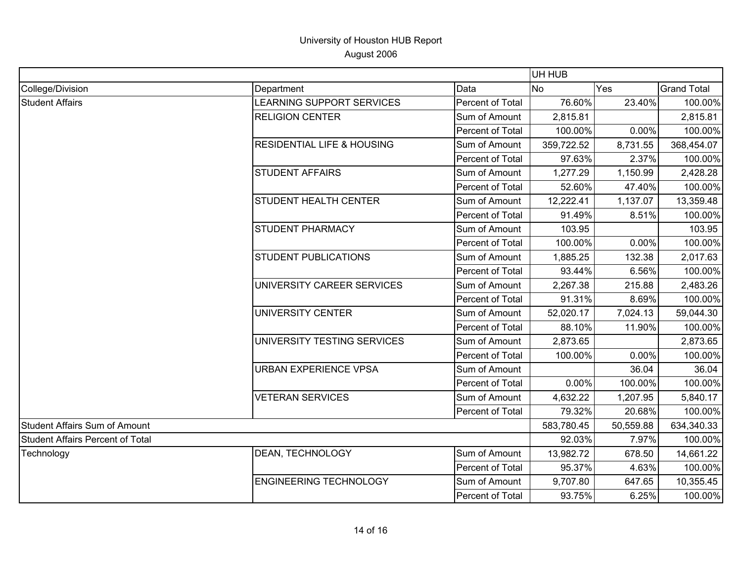|                                         |                                       |                  | UH HUB     |            |                    |
|-----------------------------------------|---------------------------------------|------------------|------------|------------|--------------------|
| College/Division                        | Department                            | Data             | <b>No</b>  | Yes        | <b>Grand Total</b> |
| <b>Student Affairs</b>                  | LEARNING SUPPORT SERVICES             | Percent of Total | 76.60%     | 23.40%     | 100.00%            |
|                                         | <b>RELIGION CENTER</b>                | Sum of Amount    | 2,815.81   |            | 2,815.81           |
|                                         |                                       | Percent of Total | 100.00%    | 0.00%      | 100.00%            |
|                                         | <b>RESIDENTIAL LIFE &amp; HOUSING</b> | Sum of Amount    | 359,722.52 | 8,731.55   | 368,454.07         |
|                                         |                                       | Percent of Total | 97.63%     | 2.37%      | 100.00%            |
|                                         | <b>STUDENT AFFAIRS</b>                | Sum of Amount    | 1,277.29   | 1,150.99   | 2,428.28           |
|                                         |                                       | Percent of Total | 52.60%     | 47.40%     | 100.00%            |
|                                         | STUDENT HEALTH CENTER                 | Sum of Amount    | 12,222.41  | 1,137.07   | 13,359.48          |
|                                         |                                       | Percent of Total | 91.49%     | 8.51%      | 100.00%            |
|                                         | STUDENT PHARMACY                      | Sum of Amount    | 103.95     |            | 103.95             |
|                                         |                                       | Percent of Total | 100.00%    | 0.00%      | 100.00%            |
|                                         | <b>STUDENT PUBLICATIONS</b>           | Sum of Amount    | 1,885.25   | 132.38     | 2,017.63           |
|                                         |                                       | Percent of Total | 93.44%     | 6.56%      | 100.00%            |
|                                         | UNIVERSITY CAREER SERVICES            | Sum of Amount    | 2,267.38   | 215.88     | 2,483.26           |
|                                         |                                       | Percent of Total | 91.31%     | 8.69%      | 100.00%            |
|                                         | UNIVERSITY CENTER                     | Sum of Amount    | 52,020.17  | 7,024.13   | 59,044.30          |
|                                         |                                       | Percent of Total | 88.10%     | 11.90%     | 100.00%            |
|                                         | UNIVERSITY TESTING SERVICES           | Sum of Amount    | 2,873.65   |            | 2,873.65           |
|                                         |                                       | Percent of Total | 100.00%    | 0.00%      | 100.00%            |
|                                         | <b>URBAN EXPERIENCE VPSA</b>          | Sum of Amount    |            | 36.04      | 36.04              |
|                                         |                                       | Percent of Total | 0.00%      | 100.00%    | 100.00%            |
|                                         | <b>VETERAN SERVICES</b>               | Sum of Amount    | 4,632.22   | 1,207.95   | 5,840.17           |
|                                         |                                       | Percent of Total | 79.32%     | 20.68%     | 100.00%            |
| <b>Student Affairs Sum of Amount</b>    |                                       | 583,780.45       | 50,559.88  | 634,340.33 |                    |
| <b>Student Affairs Percent of Total</b> |                                       |                  | 92.03%     | 7.97%      | 100.00%            |
| Technology                              | DEAN, TECHNOLOGY                      | Sum of Amount    | 13,982.72  | 678.50     | 14,661.22          |
|                                         |                                       | Percent of Total | 95.37%     | 4.63%      | 100.00%            |
|                                         | <b>ENGINEERING TECHNOLOGY</b>         | Sum of Amount    | 9,707.80   | 647.65     | 10,355.45          |
|                                         |                                       | Percent of Total | 93.75%     | 6.25%      | 100.00%            |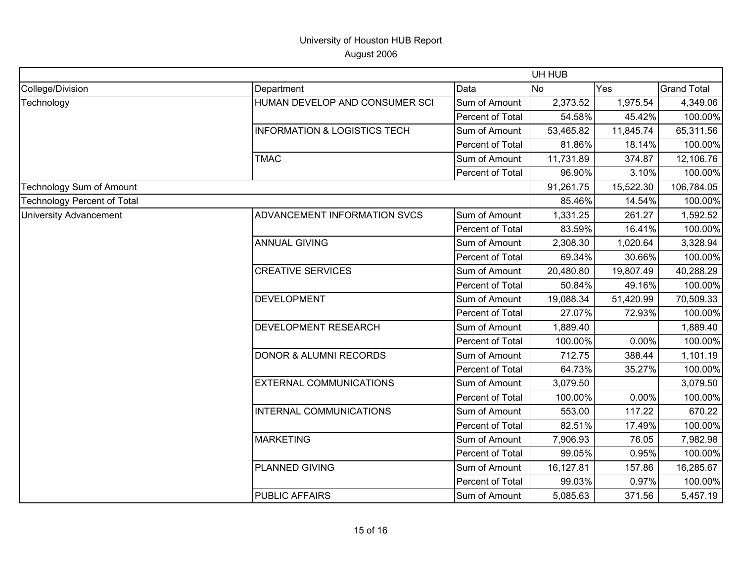|                                    |                                         |                  | UH HUB    |           |                    |
|------------------------------------|-----------------------------------------|------------------|-----------|-----------|--------------------|
| College/Division                   | Department                              | Data             | <b>No</b> | Yes       | <b>Grand Total</b> |
| Technology                         | HUMAN DEVELOP AND CONSUMER SCI          | Sum of Amount    | 2,373.52  | 1,975.54  | 4,349.06           |
|                                    |                                         | Percent of Total | 54.58%    | 45.42%    | 100.00%            |
|                                    | <b>INFORMATION &amp; LOGISTICS TECH</b> | Sum of Amount    | 53,465.82 | 11,845.74 | 65,311.56          |
|                                    |                                         | Percent of Total | 81.86%    | 18.14%    | 100.00%            |
|                                    | <b>TMAC</b>                             | Sum of Amount    | 11,731.89 | 374.87    | 12,106.76          |
|                                    |                                         | Percent of Total | 96.90%    | 3.10%     | 100.00%            |
| <b>Technology Sum of Amount</b>    |                                         |                  | 91,261.75 | 15,522.30 | 106,784.05         |
| <b>Technology Percent of Total</b> |                                         |                  | 85.46%    | 14.54%    | 100.00%            |
| <b>University Advancement</b>      | ADVANCEMENT INFORMATION SVCS            | Sum of Amount    | 1,331.25  | 261.27    | 1,592.52           |
|                                    |                                         | Percent of Total | 83.59%    | 16.41%    | 100.00%            |
|                                    | <b>ANNUAL GIVING</b>                    | Sum of Amount    | 2,308.30  | 1,020.64  | 3,328.94           |
|                                    |                                         | Percent of Total | 69.34%    | 30.66%    | 100.00%            |
|                                    | <b>CREATIVE SERVICES</b>                | Sum of Amount    | 20,480.80 | 19,807.49 | 40,288.29          |
|                                    |                                         | Percent of Total | 50.84%    | 49.16%    | 100.00%            |
|                                    | <b>DEVELOPMENT</b>                      | Sum of Amount    | 19,088.34 | 51,420.99 | 70,509.33          |
|                                    |                                         | Percent of Total | 27.07%    | 72.93%    | 100.00%            |
|                                    | DEVELOPMENT RESEARCH                    | Sum of Amount    | 1,889.40  |           | 1,889.40           |
|                                    |                                         | Percent of Total | 100.00%   | 0.00%     | 100.00%            |
|                                    | <b>DONOR &amp; ALUMNI RECORDS</b>       | Sum of Amount    | 712.75    | 388.44    | 1,101.19           |
|                                    |                                         | Percent of Total | 64.73%    | 35.27%    | 100.00%            |
|                                    | <b>EXTERNAL COMMUNICATIONS</b>          | Sum of Amount    | 3,079.50  |           | 3,079.50           |
|                                    |                                         | Percent of Total | 100.00%   | 0.00%     | 100.00%            |
|                                    | INTERNAL COMMUNICATIONS                 | Sum of Amount    | 553.00    | 117.22    | 670.22             |
|                                    |                                         | Percent of Total | 82.51%    | 17.49%    | 100.00%            |
|                                    | <b>MARKETING</b>                        | Sum of Amount    | 7,906.93  | 76.05     | 7,982.98           |
|                                    |                                         | Percent of Total | 99.05%    | 0.95%     | 100.00%            |
|                                    | PLANNED GIVING                          | Sum of Amount    | 16,127.81 | 157.86    | 16,285.67          |
|                                    |                                         | Percent of Total | 99.03%    | 0.97%     | 100.00%            |
|                                    | <b>PUBLIC AFFAIRS</b>                   | Sum of Amount    | 5,085.63  | 371.56    | 5,457.19           |